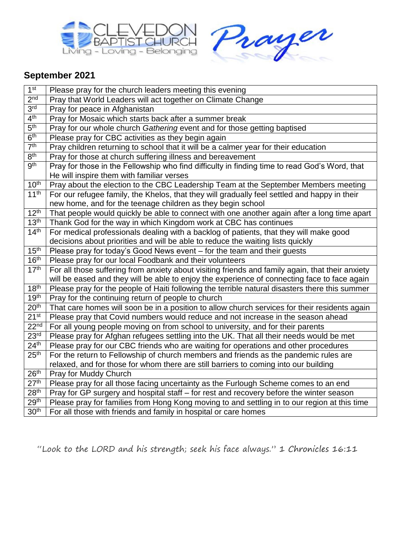



## **September 2021**

| 1 <sup>st</sup>               | Please pray for the church leaders meeting this evening                                          |
|-------------------------------|--------------------------------------------------------------------------------------------------|
| 2 <sup>nd</sup>               | Pray that World Leaders will act together on Climate Change                                      |
| 3 <sup>rd</sup>               | Pray for peace in Afghanistan                                                                    |
| 4 <sup>th</sup>               | Pray for Mosaic which starts back after a summer break                                           |
| 5 <sup>th</sup>               | Pray for our whole church Gathering event and for those getting baptised                         |
| 6 <sup>th</sup>               | Please pray for CBC activities as they begin again                                               |
| 7 <sup>th</sup>               | Pray children returning to school that it will be a calmer year for their education              |
| 8 <sup>th</sup>               | Pray for those at church suffering illness and bereavement                                       |
| $\overline{g^{th}}$           | Pray for those in the Fellowship who find difficulty in finding time to read God's Word, that    |
|                               | He will inspire them with familiar verses                                                        |
| 10 <sup>th</sup>              | Pray about the election to the CBC Leadership Team at the September Members meeting              |
| 11 <sup>th</sup>              | For our refugee family, the Khelos, that they will gradually feel settled and happy in their     |
|                               | new home, and for the teenage children as they begin school                                      |
| 12 <sup>th</sup>              | That people would quickly be able to connect with one another again after a long time apart      |
| 13 <sup>th</sup>              | Thank God for the way in which Kingdom work at CBC has continues                                 |
| 14 <sup>th</sup>              | For medical professionals dealing with a backlog of patients, that they will make good           |
|                               | decisions about priorities and will be able to reduce the waiting lists quickly                  |
| 15 <sup>th</sup>              | Please pray for today's Good News event – for the team and their guests                          |
| 16 <sup>th</sup>              | Please pray for our local Foodbank and their volunteers                                          |
| 17 <sup>th</sup>              | For all those suffering from anxiety about visiting friends and family again, that their anxiety |
|                               | will be eased and they will be able to enjoy the experience of connecting face to face again     |
| 18 <sup>th</sup>              | Please pray for the people of Haiti following the terrible natural disasters there this summer   |
| 19 <sup>th</sup>              | Pray for the continuing return of people to church                                               |
| 20 <sup>th</sup>              | That care homes will soon be in a position to allow church services for their residents again    |
| 21 <sup>st</sup>              | Please pray that Covid numbers would reduce and not increase in the season ahead                 |
| 22 <sup>nd</sup>              | For all young people moving on from school to university, and for their parents                  |
| 23 <sup>rd</sup>              | Please pray for Afghan refugees settling into the UK. That all their needs would be met          |
| $\overline{24}$ <sup>th</sup> | Please pray for our CBC friends who are waiting for operations and other procedures              |
| 25 <sup>th</sup>              | For the return to Fellowship of church members and friends as the pandemic rules are             |
|                               | relaxed, and for those for whom there are still barriers to coming into our building             |
| 26 <sup>th</sup>              | Pray for Muddy Church                                                                            |
| 27 <sup>th</sup>              | Please pray for all those facing uncertainty as the Furlough Scheme comes to an end              |
| 28 <sup>th</sup>              | Pray for GP surgery and hospital staff - for rest and recovery before the winter season          |
| 29 <sup>th</sup>              | Please pray for families from Hong Kong moving to and settling in to our region at this time     |
| 30 <sup>th</sup>              | For all those with friends and family in hospital or care homes                                  |

"Look to the LORD and his strength; seek his face always." 1 Chronicles 16:11